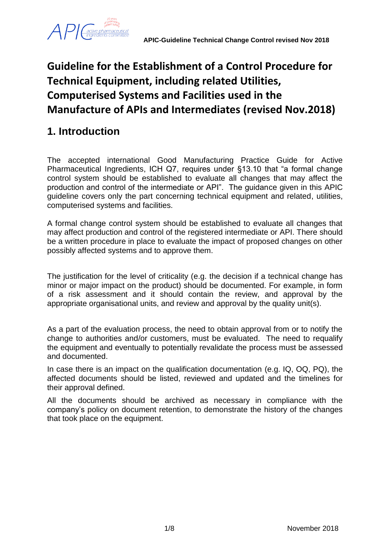

# **Guideline for the Establishment of a Control Procedure for Technical Equipment, including related Utilities, Computerised Systems and Facilities used in the Manufacture of APIs and Intermediates (revised Nov.2018)**

# **1. Introduction**

The accepted international Good Manufacturing Practice Guide for Active Pharmaceutical Ingredients, ICH Q7, requires under §13.10 that "a formal change control system should be established to evaluate all changes that may affect the production and control of the intermediate or API". The guidance given in this APIC guideline covers only the part concerning technical equipment and related, utilities, computerised systems and facilities.

A formal change control system should be established to evaluate all changes that may affect production and control of the registered intermediate or API. There should be a written procedure in place to evaluate the impact of proposed changes on other possibly affected systems and to approve them.

The justification for the level of criticality (e.g. the decision if a technical change has minor or major impact on the product) should be documented. For example, in form of a risk assessment and it should contain the review, and approval by the appropriate organisational units, and review and approval by the quality unit(s).

As a part of the evaluation process, the need to obtain approval from or to notify the change to authorities and/or customers, must be evaluated. The need to requalify the equipment and eventually to potentially revalidate the process must be assessed and documented.

In case there is an impact on the qualification documentation (e.g. IQ, OQ, PQ), the affected documents should be listed, reviewed and updated and the timelines for their approval defined.

All the documents should be archived as necessary in compliance with the company's policy on document retention, to demonstrate the history of the changes that took place on the equipment.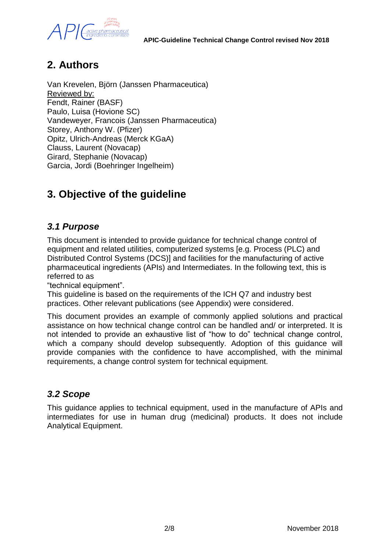

## **2. Authors**

Van Krevelen, Björn (Janssen Pharmaceutica) Reviewed by: Fendt, Rainer (BASF) Paulo, Luisa (Hovione SC) Vandeweyer, Francois (Janssen Pharmaceutica) Storey, Anthony W. (Pfizer) Opitz, Ulrich-Andreas (Merck KGaA) Clauss, Laurent (Novacap) Girard, Stephanie (Novacap) Garcia, Jordi (Boehringer Ingelheim)

## **3. Objective of the guideline**

## *3.1 Purpose*

This document is intended to provide guidance for technical change control of equipment and related utilities, computerized systems [e.g. Process (PLC) and Distributed Control Systems (DCS)] and facilities for the manufacturing of active pharmaceutical ingredients (APIs) and Intermediates. In the following text, this is referred to as

"technical equipment".

This guideline is based on the requirements of the ICH Q7 and industry best practices. Other relevant publications (see Appendix) were considered.

This document provides an example of commonly applied solutions and practical assistance on how technical change control can be handled and/ or interpreted. It is not intended to provide an exhaustive list of "how to do" technical change control, which a company should develop subsequently. Adoption of this guidance will provide companies with the confidence to have accomplished, with the minimal requirements, a change control system for technical equipment.

### *3.2 Scope*

This guidance applies to technical equipment, used in the manufacture of APIs and intermediates for use in human drug (medicinal) products. It does not include Analytical Equipment.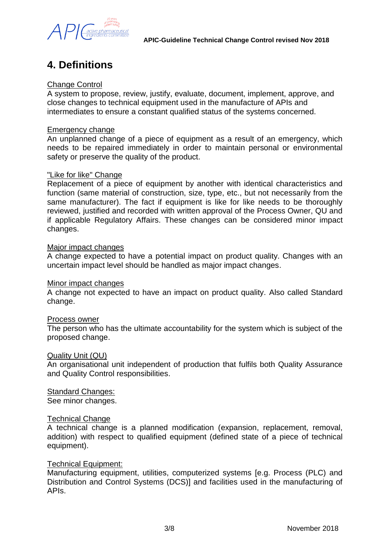

## **4. Definitions**

#### Change Control

A system to propose, review, justify, evaluate, document, implement, approve, and close changes to technical equipment used in the manufacture of APIs and intermediates to ensure a constant qualified status of the systems concerned.

#### Emergency change

An unplanned change of a piece of equipment as a result of an emergency, which needs to be repaired immediately in order to maintain personal or environmental safety or preserve the quality of the product.

#### "Like for like" Change

Replacement of a piece of equipment by another with identical characteristics and function (same material of construction, size, type, etc., but not necessarily from the same manufacturer). The fact if equipment is like for like needs to be thoroughly reviewed, justified and recorded with written approval of the Process Owner, QU and if applicable Regulatory Affairs. These changes can be considered minor impact changes.

#### Major impact changes

A change expected to have a potential impact on product quality. Changes with an uncertain impact level should be handled as major impact changes.

#### Minor impact changes

A change not expected to have an impact on product quality. Also called Standard change.

#### Process owner

The person who has the ultimate accountability for the system which is subject of the proposed change.

#### Quality Unit (QU)

An organisational unit independent of production that fulfils both Quality Assurance and Quality Control responsibilities.

#### Standard Changes:

See minor changes.

#### Technical Change

A technical change is a planned modification (expansion, replacement, removal, addition) with respect to qualified equipment (defined state of a piece of technical equipment).

#### Technical Equipment:

Manufacturing equipment, utilities, computerized systems [e.g. Process (PLC) and Distribution and Control Systems (DCS)] and facilities used in the manufacturing of APIs.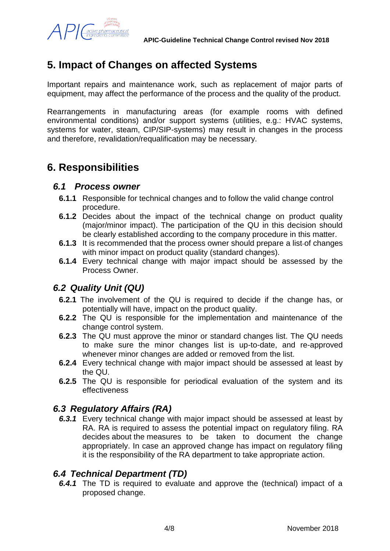

## **5. Impact of Changes on affected Systems**

Important repairs and maintenance work, such as replacement of major parts of equipment, may affect the performance of the process and the quality of the product.

Rearrangements in manufacturing areas (for example rooms with defined environmental conditions) and/or support systems (utilities, e.g.: HVAC systems, systems for water, steam, CIP/SIP-systems) may result in changes in the process and therefore, revalidation/requalification may be necessary.

## **6. Responsibilities**

### *6.1 Process owner*

- **6.1.1** Responsible for technical changes and to follow the valid change control procedure.
- **6.1.2** Decides about the impact of the technical change on product quality (major/minor impact). The participation of the QU in this decision should be clearly established according to the company procedure in this matter.
- **6.1.3** It is recommended that the process owner should prepare a list-of changes with minor impact on product quality (standard changes).
- **6.1.4** Every technical change with major impact should be assessed by the Process Owner.

## *6.2 Quality Unit (QU)*

- **6.2.1** The involvement of the QU is required to decide if the change has, or potentially will have, impact on the product quality.
- **6.2.2** The QU is responsible for the implementation and maintenance of the change control system.
- **6.2.3** The QU must approve the minor or standard changes list. The QU needs to make sure the minor changes list is up-to-date, and re-approved whenever minor changes are added or removed from the list.
- **6.2.4** Every technical change with major impact should be assessed at least by the QU.
- **6.2.5** The QU is responsible for periodical evaluation of the system and its effectiveness

## *6.3 Regulatory Affairs (RA)*

*6.3.1* Every technical change with major impact should be assessed at least by RA. RA is required to assess the potential impact on regulatory filing. RA decides about the measures to be taken to document the change appropriately. In case an approved change has impact on regulatory filing it is the responsibility of the RA department to take appropriate action.

### *6.4 Technical Department (TD)*

*6.4.1* The TD is required to evaluate and approve the (technical) impact of a proposed change.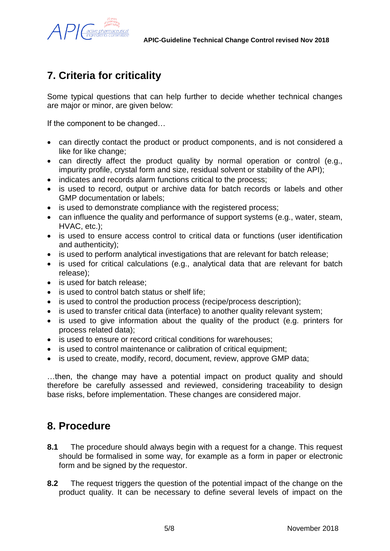

## **7. Criteria for criticality**

Some typical questions that can help further to decide whether technical changes are major or minor, are given below:

If the component to be changed…

- can directly contact the product or product components, and is not considered a like for like change;
- can directly affect the product quality by normal operation or control (e.g., impurity profile, crystal form and size, residual solvent or stability of the API);
- indicates and records alarm functions critical to the process;
- is used to record, output or archive data for batch records or labels and other GMP documentation or labels;
- is used to demonstrate compliance with the registered process;
- can influence the quality and performance of support systems (e.g., water, steam, HVAC, etc.);
- is used to ensure access control to critical data or functions (user identification and authenticity);
- is used to perform analytical investigations that are relevant for batch release;
- is used for critical calculations (e.g., analytical data that are relevant for batch release);
- is used for batch release;
- is used to control batch status or shelf life;
- is used to control the production process (recipe/process description);
- is used to transfer critical data (interface) to another quality relevant system;
- is used to give information about the quality of the product (e.g. printers for process related data);
- is used to ensure or record critical conditions for warehouses;
- is used to control maintenance or calibration of critical equipment;
- is used to create, modify, record, document, review, approve GMP data;

…then, the change may have a potential impact on product quality and should therefore be carefully assessed and reviewed, considering traceability to design base risks, before implementation. These changes are considered major.

## **8. Procedure**

- **8.1** The procedure should always begin with a request for a change. This request should be formalised in some way, for example as a form in paper or electronic form and be signed by the requestor.
- **8.2** The request triggers the question of the potential impact of the change on the product quality. It can be necessary to define several levels of impact on the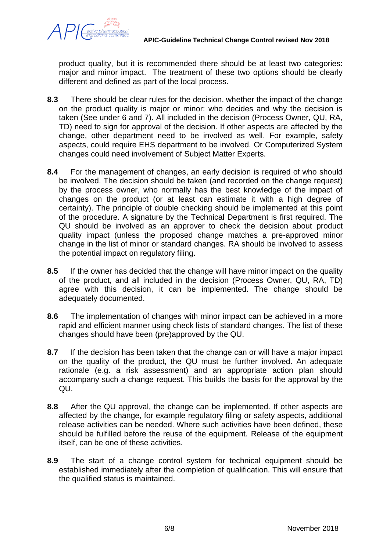

product quality, but it is recommended there should be at least two categories: major and minor impact. The treatment of these two options should be clearly different and defined as part of the local process.

- **8.3** There should be clear rules for the decision, whether the impact of the change on the product quality is major or minor: who decides and why the decision is taken (See under 6 and 7). All included in the decision (Process Owner, QU, RA, TD) need to sign for approval of the decision. If other aspects are affected by the change, other department need to be involved as well. For example, safety aspects, could require EHS department to be involved. Or Computerized System changes could need involvement of Subject Matter Experts.
- **8.4** For the management of changes, an early decision is required of who should be involved. The decision should be taken (and recorded on the change request) by the process owner, who normally has the best knowledge of the impact of changes on the product (or at least can estimate it with a high degree of certainty). The principle of double checking should be implemented at this point of the procedure. A signature by the Technical Department is first required. The QU should be involved as an approver to check the decision about product quality impact (unless the proposed change matches a pre-approved minor change in the list of minor or standard changes. RA should be involved to assess the potential impact on regulatory filing.
- **8.5** If the owner has decided that the change will have minor impact on the quality of the product, and all included in the decision (Process Owner, QU, RA, TD) agree with this decision, it can be implemented. The change should be adequately documented.
- **8.6** The implementation of changes with minor impact can be achieved in a more rapid and efficient manner using check lists of standard changes. The list of these changes should have been (pre)approved by the QU.
- **8.7** If the decision has been taken that the change can or will have a major impact on the quality of the product, the QU must be further involved. An adequate rationale (e.g. a risk assessment) and an appropriate action plan should accompany such a change request. This builds the basis for the approval by the QU.
- **8.8** After the QU approval, the change can be implemented. If other aspects are affected by the change, for example regulatory filing or safety aspects, additional release activities can be needed. Where such activities have been defined, these should be fulfilled before the reuse of the equipment. Release of the equipment itself, can be one of these activities.
- **8.9** The start of a change control system for technical equipment should be established immediately after the completion of qualification. This will ensure that the qualified status is maintained.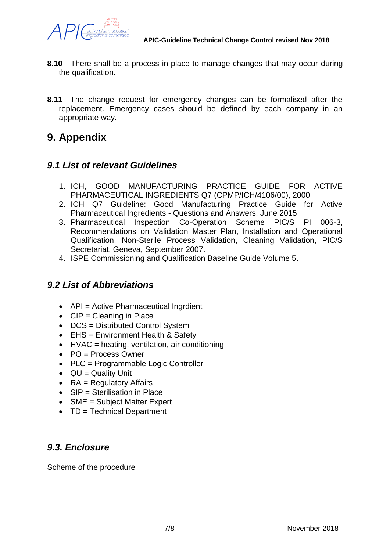

- **8.10** There shall be a process in place to manage changes that may occur during the qualification.
- **8.11** The change request for emergency changes can be formalised after the replacement. Emergency cases should be defined by each company in an appropriate way.

## **9. Appendix**

## *9.1 List of relevant Guidelines*

- 1. ICH, GOOD MANUFACTURING PRACTICE GUIDE FOR ACTIVE PHARMACEUTICAL INGREDIENTS Q7 (CPMP/ICH/4106/00), 2000
- 2. ICH Q7 Guideline: Good Manufacturing Practice Guide for Active Pharmaceutical Ingredients - Questions and Answers, June 2015
- 3. Pharmaceutical Inspection Co-Operation Scheme PIC/S PI 006-3, Recommendations on Validation Master Plan, Installation and Operational Qualification, Non-Sterile Process Validation, Cleaning Validation, PIC/S Secretariat, Geneva, September 2007.
- 4. ISPE Commissioning and Qualification Baseline Guide Volume 5.

## *9.2 List of Abbreviations*

- API = Active Pharmaceutical Ingrdient
- $\bullet$  CIP = Cleaning in Place
- DCS = Distributed Control System
- EHS = Environment Health & Safety
- $\bullet$  HVAC = heating, ventilation, air conditioning
- $\bullet$  PO = Process Owner
- PLC = Programmable Logic Controller
- $\bullet$  QU = Quality Unit
- $\bullet$  RA = Regulatory Affairs
- $SIP =$  Sterilisation in Place
- SME = Subject Matter Expert
- TD = Technical Department

## *9.3. Enclosure*

Scheme of the procedure